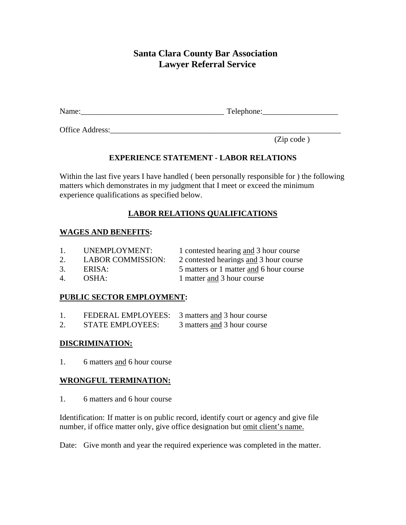# **Santa Clara County Bar Association Lawyer Referral Service**

Name: Telephone:

Office Address:\_\_\_\_\_\_\_\_\_\_\_\_\_\_\_\_\_\_\_\_\_\_\_\_\_\_\_\_\_\_\_\_\_\_\_\_\_\_\_\_\_\_\_\_\_\_\_\_\_\_\_\_\_\_\_\_\_\_

(Zip code )

# **EXPERIENCE STATEMENT - LABOR RELATIONS**

Within the last five years I have handled ( been personally responsible for ) the following matters which demonstrates in my judgment that I meet or exceed the minimum experience qualifications as specified below.

# **LABOR RELATIONS QUALIFICATIONS**

### **WAGES AND BENEFITS:**

| $1_{-}$ | UNEMPLOYMENT:            | 1 contested hearing and 3 hour course   |
|---------|--------------------------|-----------------------------------------|
| 2.      | <b>LABOR COMMISSION:</b> | 2 contested hearings and 3 hour course  |
| 3.      | ERISA:                   | 5 matters or 1 matter and 6 hour course |
| 4       | OSHA:                    | 1 matter and 3 hour course              |

### **PUBLIC SECTOR EMPLOYMENT:**

|    | FEDERAL EMPLOYEES:      | 3 matters and 3 hour course |
|----|-------------------------|-----------------------------|
| 2. | <b>STATE EMPLOYEES:</b> | 3 matters and 3 hour course |

### **DISCRIMINATION:**

1. 6 matters and 6 hour course

### **WRONGFUL TERMINATION:**

1. 6 matters and 6 hour course

Identification: If matter is on public record, identify court or agency and give file number, if office matter only, give office designation but omit client's name.

Date: Give month and year the required experience was completed in the matter.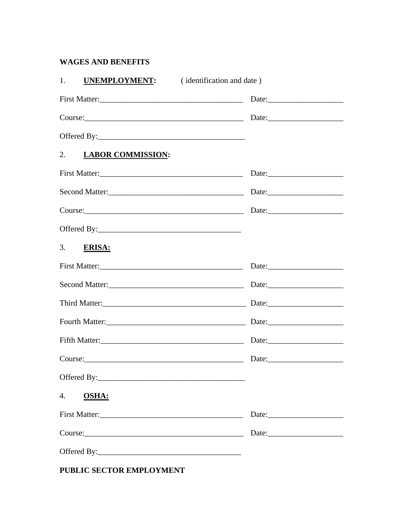# **WAGES AND BENEFITS**

| 1.                   | <b>UNEMPLOYMENT:</b> (identification and date)                                                                                                                                                                                 |  |
|----------------------|--------------------------------------------------------------------------------------------------------------------------------------------------------------------------------------------------------------------------------|--|
|                      | First Matter:                                                                                                                                                                                                                  |  |
|                      |                                                                                                                                                                                                                                |  |
|                      |                                                                                                                                                                                                                                |  |
| 2. LABOR COMMISSION: |                                                                                                                                                                                                                                |  |
|                      | First Matter:                                                                                                                                                                                                                  |  |
|                      | Second Matter:<br><u>Second Matter:</u>                                                                                                                                                                                        |  |
|                      | Date: $\frac{1}{2}$ Date:                                                                                                                                                                                                      |  |
|                      |                                                                                                                                                                                                                                |  |
| 3.<br><b>ERISA:</b>  |                                                                                                                                                                                                                                |  |
|                      | First Matter:                                                                                                                                                                                                                  |  |
|                      |                                                                                                                                                                                                                                |  |
|                      |                                                                                                                                                                                                                                |  |
|                      |                                                                                                                                                                                                                                |  |
|                      |                                                                                                                                                                                                                                |  |
|                      | Course: Date: Date:                                                                                                                                                                                                            |  |
|                      |                                                                                                                                                                                                                                |  |
| 4.<br><b>OSHA:</b>   |                                                                                                                                                                                                                                |  |
|                      |                                                                                                                                                                                                                                |  |
|                      | Course: 2000 Course 2000 Course 2000 Course 2000 Course 2000 Course 2000 Course 2000 Course 2000 Course 2000 Course 2000 Course 2000 Course 2000 Course 2000 Course 2000 Course 2000 Course 2000 Course 2000 Course 2000 Cours |  |
|                      |                                                                                                                                                                                                                                |  |

PUBLIC SECTOR EMPLOYMENT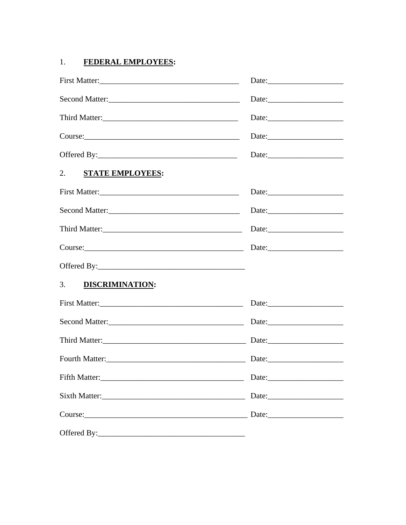#### $1.$ **FEDERAL EMPLOYEES:**

|                                                                                                                                                                                                                               | Date:                     |
|-------------------------------------------------------------------------------------------------------------------------------------------------------------------------------------------------------------------------------|---------------------------|
|                                                                                                                                                                                                                               | Date:                     |
|                                                                                                                                                                                                                               | Date:                     |
|                                                                                                                                                                                                                               | Date:                     |
| 2. STATE EMPLOYEES:                                                                                                                                                                                                           |                           |
|                                                                                                                                                                                                                               |                           |
|                                                                                                                                                                                                                               |                           |
|                                                                                                                                                                                                                               | Date: $\frac{1}{2}$ Date: |
|                                                                                                                                                                                                                               | Date: $\frac{1}{2}$ Date: |
|                                                                                                                                                                                                                               |                           |
| 3. DISCRIMINATION:                                                                                                                                                                                                            |                           |
|                                                                                                                                                                                                                               |                           |
|                                                                                                                                                                                                                               |                           |
|                                                                                                                                                                                                                               |                           |
|                                                                                                                                                                                                                               |                           |
|                                                                                                                                                                                                                               |                           |
|                                                                                                                                                                                                                               |                           |
| Course: 2000 Date: 2000 Date: 2000 Date: 2000 Date: 2000 Date: 2000 Date: 2000 Date: 2000 Date: 2000 Date: 2000 Date: 2000 Date: 2000 Date: 2000 Date: 2000 Date: 2000 Date: 2000 Date: 2000 Date: 2000 Date: 2000 Date: 2000 |                           |
|                                                                                                                                                                                                                               |                           |